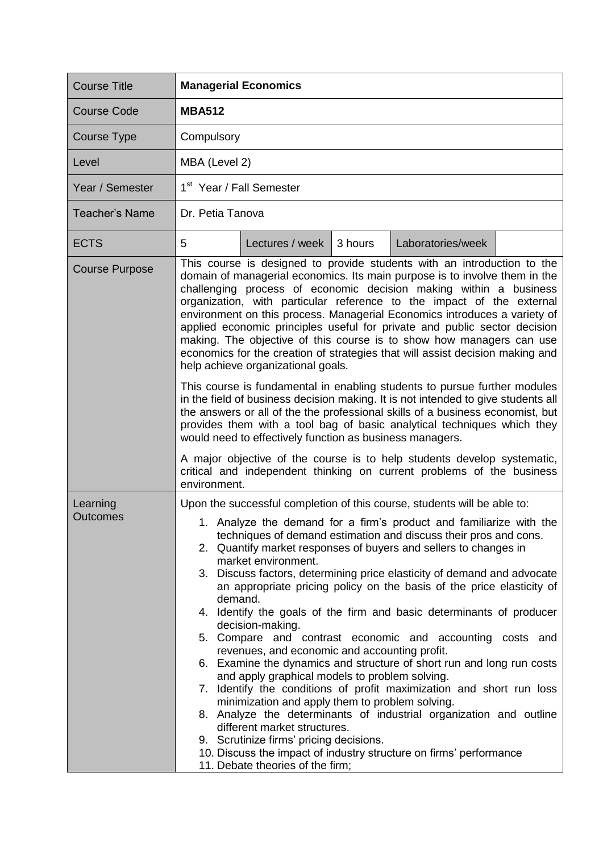| <b>Course Title</b>         | <b>Managerial Economics</b>                                                                                                                                                                                                                                                                                                                                                                                                                                                                                                                                                                                                                                                                                                                                                                                                                                                                                                                                                                                                                                                                                                                                                                                                                                                                       |  |  |  |
|-----------------------------|---------------------------------------------------------------------------------------------------------------------------------------------------------------------------------------------------------------------------------------------------------------------------------------------------------------------------------------------------------------------------------------------------------------------------------------------------------------------------------------------------------------------------------------------------------------------------------------------------------------------------------------------------------------------------------------------------------------------------------------------------------------------------------------------------------------------------------------------------------------------------------------------------------------------------------------------------------------------------------------------------------------------------------------------------------------------------------------------------------------------------------------------------------------------------------------------------------------------------------------------------------------------------------------------------|--|--|--|
| <b>Course Code</b>          | <b>MBA512</b>                                                                                                                                                                                                                                                                                                                                                                                                                                                                                                                                                                                                                                                                                                                                                                                                                                                                                                                                                                                                                                                                                                                                                                                                                                                                                     |  |  |  |
| Course Type                 | Compulsory                                                                                                                                                                                                                                                                                                                                                                                                                                                                                                                                                                                                                                                                                                                                                                                                                                                                                                                                                                                                                                                                                                                                                                                                                                                                                        |  |  |  |
| Level                       | MBA (Level 2)                                                                                                                                                                                                                                                                                                                                                                                                                                                                                                                                                                                                                                                                                                                                                                                                                                                                                                                                                                                                                                                                                                                                                                                                                                                                                     |  |  |  |
| Year / Semester             | 1 <sup>st</sup> Year / Fall Semester                                                                                                                                                                                                                                                                                                                                                                                                                                                                                                                                                                                                                                                                                                                                                                                                                                                                                                                                                                                                                                                                                                                                                                                                                                                              |  |  |  |
| <b>Teacher's Name</b>       | Dr. Petia Tanova                                                                                                                                                                                                                                                                                                                                                                                                                                                                                                                                                                                                                                                                                                                                                                                                                                                                                                                                                                                                                                                                                                                                                                                                                                                                                  |  |  |  |
| <b>ECTS</b>                 | 5<br>Lectures / week<br>Laboratories/week<br>3 hours                                                                                                                                                                                                                                                                                                                                                                                                                                                                                                                                                                                                                                                                                                                                                                                                                                                                                                                                                                                                                                                                                                                                                                                                                                              |  |  |  |
| <b>Course Purpose</b>       | This course is designed to provide students with an introduction to the<br>domain of managerial economics. Its main purpose is to involve them in the<br>challenging process of economic decision making within a business<br>organization, with particular reference to the impact of the external<br>environment on this process. Managerial Economics introduces a variety of<br>applied economic principles useful for private and public sector decision<br>making. The objective of this course is to show how managers can use<br>economics for the creation of strategies that will assist decision making and<br>help achieve organizational goals.<br>This course is fundamental in enabling students to pursue further modules<br>in the field of business decision making. It is not intended to give students all<br>the answers or all of the the professional skills of a business economist, but<br>provides them with a tool bag of basic analytical techniques which they<br>would need to effectively function as business managers.<br>A major objective of the course is to help students develop systematic,                                                                                                                                                                |  |  |  |
| Learning<br><b>Outcomes</b> | critical and independent thinking on current problems of the business<br>environment.<br>Upon the successful completion of this course, students will be able to:<br>1. Analyze the demand for a firm's product and familiarize with the<br>techniques of demand estimation and discuss their pros and cons.<br>2. Quantify market responses of buyers and sellers to changes in<br>market environment.<br>3. Discuss factors, determining price elasticity of demand and advocate<br>an appropriate pricing policy on the basis of the price elasticity of<br>demand.<br>4. Identify the goals of the firm and basic determinants of producer<br>decision-making.<br>5. Compare and contrast economic and accounting costs and<br>revenues, and economic and accounting profit.<br>6. Examine the dynamics and structure of short run and long run costs<br>and apply graphical models to problem solving.<br>7. Identify the conditions of profit maximization and short run loss<br>minimization and apply them to problem solving.<br>8. Analyze the determinants of industrial organization and outline<br>different market structures.<br>9. Scrutinize firms' pricing decisions.<br>10. Discuss the impact of industry structure on firms' performance<br>11. Debate theories of the firm; |  |  |  |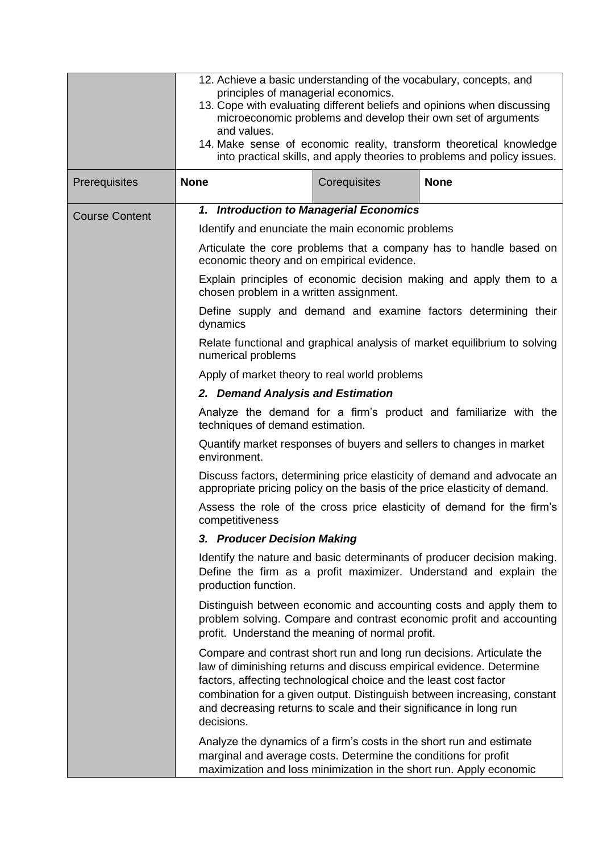|                                                                                                                                                       | 12. Achieve a basic understanding of the vocabulary, concepts, and<br>principles of managerial economics.<br>13. Cope with evaluating different beliefs and opinions when discussing<br>microeconomic problems and develop their own set of arguments<br>and values.<br>14. Make sense of economic reality, transform theoretical knowledge<br>into practical skills, and apply theories to problems and policy issues. |              |                                                                                                                                                                                                                           |  |
|-------------------------------------------------------------------------------------------------------------------------------------------------------|-------------------------------------------------------------------------------------------------------------------------------------------------------------------------------------------------------------------------------------------------------------------------------------------------------------------------------------------------------------------------------------------------------------------------|--------------|---------------------------------------------------------------------------------------------------------------------------------------------------------------------------------------------------------------------------|--|
| Prerequisites                                                                                                                                         | <b>None</b>                                                                                                                                                                                                                                                                                                                                                                                                             | Corequisites | <b>None</b>                                                                                                                                                                                                               |  |
| <b>Course Content</b>                                                                                                                                 | 1. Introduction to Managerial Economics                                                                                                                                                                                                                                                                                                                                                                                 |              |                                                                                                                                                                                                                           |  |
|                                                                                                                                                       | Identify and enunciate the main economic problems                                                                                                                                                                                                                                                                                                                                                                       |              |                                                                                                                                                                                                                           |  |
|                                                                                                                                                       | Articulate the core problems that a company has to handle based on<br>economic theory and on empirical evidence.                                                                                                                                                                                                                                                                                                        |              |                                                                                                                                                                                                                           |  |
|                                                                                                                                                       | Explain principles of economic decision making and apply them to a<br>chosen problem in a written assignment.                                                                                                                                                                                                                                                                                                           |              |                                                                                                                                                                                                                           |  |
|                                                                                                                                                       | Define supply and demand and examine factors determining their<br>dynamics                                                                                                                                                                                                                                                                                                                                              |              |                                                                                                                                                                                                                           |  |
|                                                                                                                                                       | Relate functional and graphical analysis of market equilibrium to solving                                                                                                                                                                                                                                                                                                                                               |              |                                                                                                                                                                                                                           |  |
|                                                                                                                                                       | Apply of market theory to real world problems                                                                                                                                                                                                                                                                                                                                                                           |              |                                                                                                                                                                                                                           |  |
|                                                                                                                                                       | 2. Demand Analysis and Estimation                                                                                                                                                                                                                                                                                                                                                                                       |              |                                                                                                                                                                                                                           |  |
|                                                                                                                                                       | techniques of demand estimation.                                                                                                                                                                                                                                                                                                                                                                                        |              | Analyze the demand for a firm's product and familiarize with the                                                                                                                                                          |  |
|                                                                                                                                                       | environment.                                                                                                                                                                                                                                                                                                                                                                                                            |              | Quantify market responses of buyers and sellers to changes in market                                                                                                                                                      |  |
| Discuss factors, determining price elasticity of demand and advocate an<br>appropriate pricing policy on the basis of the price elasticity of demand. |                                                                                                                                                                                                                                                                                                                                                                                                                         |              |                                                                                                                                                                                                                           |  |
|                                                                                                                                                       | Assess the role of the cross price elasticity of demand for the firm's<br>competitiveness                                                                                                                                                                                                                                                                                                                               |              |                                                                                                                                                                                                                           |  |
|                                                                                                                                                       | 3. Producer Decision Making                                                                                                                                                                                                                                                                                                                                                                                             |              |                                                                                                                                                                                                                           |  |
|                                                                                                                                                       | production function.                                                                                                                                                                                                                                                                                                                                                                                                    |              | Identify the nature and basic determinants of producer decision making.<br>Define the firm as a profit maximizer. Understand and explain the                                                                              |  |
|                                                                                                                                                       | profit. Understand the meaning of normal profit.                                                                                                                                                                                                                                                                                                                                                                        |              | Distinguish between economic and accounting costs and apply them to<br>problem solving. Compare and contrast economic profit and accounting                                                                               |  |
|                                                                                                                                                       | factors, affecting technological choice and the least cost factor<br>and decreasing returns to scale and their significance in long run<br>decisions.                                                                                                                                                                                                                                                                   |              | Compare and contrast short run and long run decisions. Articulate the<br>law of diminishing returns and discuss empirical evidence. Determine<br>combination for a given output. Distinguish between increasing, constant |  |
|                                                                                                                                                       | marginal and average costs. Determine the conditions for profit                                                                                                                                                                                                                                                                                                                                                         |              | Analyze the dynamics of a firm's costs in the short run and estimate<br>maximization and loss minimization in the short run. Apply economic                                                                               |  |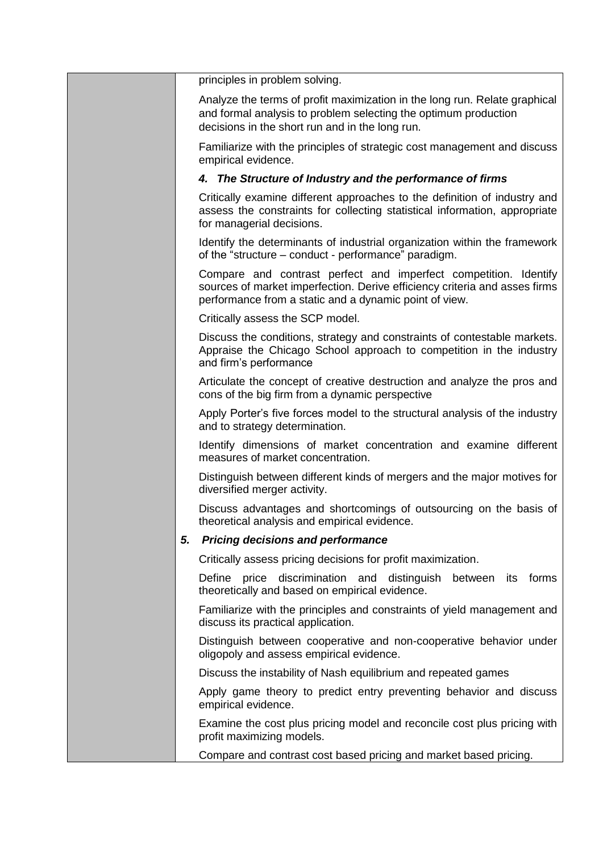|    | principles in problem solving.                                                                                                                                                                           |
|----|----------------------------------------------------------------------------------------------------------------------------------------------------------------------------------------------------------|
|    | Analyze the terms of profit maximization in the long run. Relate graphical<br>and formal analysis to problem selecting the optimum production<br>decisions in the short run and in the long run.         |
|    | Familiarize with the principles of strategic cost management and discuss<br>empirical evidence.                                                                                                          |
|    | 4. The Structure of Industry and the performance of firms                                                                                                                                                |
|    | Critically examine different approaches to the definition of industry and<br>assess the constraints for collecting statistical information, appropriate<br>for managerial decisions.                     |
|    | Identify the determinants of industrial organization within the framework<br>of the "structure – conduct - performance" paradigm.                                                                        |
|    | Compare and contrast perfect and imperfect competition. Identify<br>sources of market imperfection. Derive efficiency criteria and asses firms<br>performance from a static and a dynamic point of view. |
|    | Critically assess the SCP model.                                                                                                                                                                         |
|    | Discuss the conditions, strategy and constraints of contestable markets.<br>Appraise the Chicago School approach to competition in the industry<br>and firm's performance                                |
|    | Articulate the concept of creative destruction and analyze the pros and<br>cons of the big firm from a dynamic perspective                                                                               |
|    | Apply Porter's five forces model to the structural analysis of the industry<br>and to strategy determination.                                                                                            |
|    | Identify dimensions of market concentration and examine different<br>measures of market concentration.                                                                                                   |
|    | Distinguish between different kinds of mergers and the major motives for<br>diversified merger activity.                                                                                                 |
|    | Discuss advantages and shortcomings of outsourcing on the basis of<br>theoretical analysis and empirical evidence.                                                                                       |
| 5. | <b>Pricing decisions and performance</b>                                                                                                                                                                 |
|    | Critically assess pricing decisions for profit maximization.                                                                                                                                             |
|    | Define price discrimination and distinguish<br>forms<br>between<br>its<br>theoretically and based on empirical evidence.                                                                                 |
|    | Familiarize with the principles and constraints of yield management and<br>discuss its practical application.                                                                                            |
|    | Distinguish between cooperative and non-cooperative behavior under<br>oligopoly and assess empirical evidence.                                                                                           |
|    | Discuss the instability of Nash equilibrium and repeated games                                                                                                                                           |
|    | Apply game theory to predict entry preventing behavior and discuss<br>empirical evidence.                                                                                                                |
|    | Examine the cost plus pricing model and reconcile cost plus pricing with<br>profit maximizing models.                                                                                                    |
|    | Compare and contrast cost based pricing and market based pricing.                                                                                                                                        |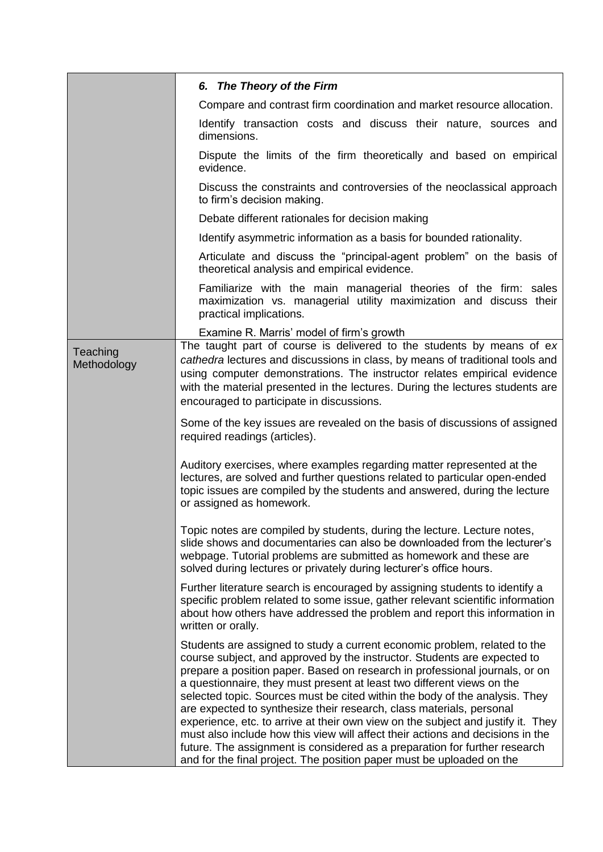|                         | 6. The Theory of the Firm                                                                                                                                                                                                                                                                                                                                                                                                                                                                                                                                                                                                                                                                                                                                                                          |
|-------------------------|----------------------------------------------------------------------------------------------------------------------------------------------------------------------------------------------------------------------------------------------------------------------------------------------------------------------------------------------------------------------------------------------------------------------------------------------------------------------------------------------------------------------------------------------------------------------------------------------------------------------------------------------------------------------------------------------------------------------------------------------------------------------------------------------------|
|                         | Compare and contrast firm coordination and market resource allocation.                                                                                                                                                                                                                                                                                                                                                                                                                                                                                                                                                                                                                                                                                                                             |
|                         | Identify transaction costs and discuss their nature, sources and<br>dimensions.                                                                                                                                                                                                                                                                                                                                                                                                                                                                                                                                                                                                                                                                                                                    |
|                         | Dispute the limits of the firm theoretically and based on empirical<br>evidence.                                                                                                                                                                                                                                                                                                                                                                                                                                                                                                                                                                                                                                                                                                                   |
|                         | Discuss the constraints and controversies of the neoclassical approach<br>to firm's decision making.                                                                                                                                                                                                                                                                                                                                                                                                                                                                                                                                                                                                                                                                                               |
|                         | Debate different rationales for decision making                                                                                                                                                                                                                                                                                                                                                                                                                                                                                                                                                                                                                                                                                                                                                    |
|                         | Identify asymmetric information as a basis for bounded rationality.                                                                                                                                                                                                                                                                                                                                                                                                                                                                                                                                                                                                                                                                                                                                |
|                         | Articulate and discuss the "principal-agent problem" on the basis of<br>theoretical analysis and empirical evidence.                                                                                                                                                                                                                                                                                                                                                                                                                                                                                                                                                                                                                                                                               |
|                         | Familiarize with the main managerial theories of the firm: sales<br>maximization vs. managerial utility maximization and discuss their<br>practical implications.                                                                                                                                                                                                                                                                                                                                                                                                                                                                                                                                                                                                                                  |
|                         | Examine R. Marris' model of firm's growth                                                                                                                                                                                                                                                                                                                                                                                                                                                                                                                                                                                                                                                                                                                                                          |
| Teaching<br>Methodology | The taught part of course is delivered to the students by means of ex<br>cathedra lectures and discussions in class, by means of traditional tools and<br>using computer demonstrations. The instructor relates empirical evidence<br>with the material presented in the lectures. During the lectures students are<br>encouraged to participate in discussions.                                                                                                                                                                                                                                                                                                                                                                                                                                   |
|                         | Some of the key issues are revealed on the basis of discussions of assigned<br>required readings (articles).                                                                                                                                                                                                                                                                                                                                                                                                                                                                                                                                                                                                                                                                                       |
|                         | Auditory exercises, where examples regarding matter represented at the<br>lectures, are solved and further questions related to particular open-ended<br>topic issues are compiled by the students and answered, during the lecture<br>or assigned as homework.                                                                                                                                                                                                                                                                                                                                                                                                                                                                                                                                    |
|                         | Topic notes are compiled by students, during the lecture. Lecture notes,<br>slide shows and documentaries can also be downloaded from the lecturer's<br>webpage. Tutorial problems are submitted as homework and these are<br>solved during lectures or privately during lecturer's office hours.                                                                                                                                                                                                                                                                                                                                                                                                                                                                                                  |
|                         | Further literature search is encouraged by assigning students to identify a<br>specific problem related to some issue, gather relevant scientific information<br>about how others have addressed the problem and report this information in<br>written or orally.                                                                                                                                                                                                                                                                                                                                                                                                                                                                                                                                  |
|                         | Students are assigned to study a current economic problem, related to the<br>course subject, and approved by the instructor. Students are expected to<br>prepare a position paper. Based on research in professional journals, or on<br>a questionnaire, they must present at least two different views on the<br>selected topic. Sources must be cited within the body of the analysis. They<br>are expected to synthesize their research, class materials, personal<br>experience, etc. to arrive at their own view on the subject and justify it. They<br>must also include how this view will affect their actions and decisions in the<br>future. The assignment is considered as a preparation for further research<br>and for the final project. The position paper must be uploaded on the |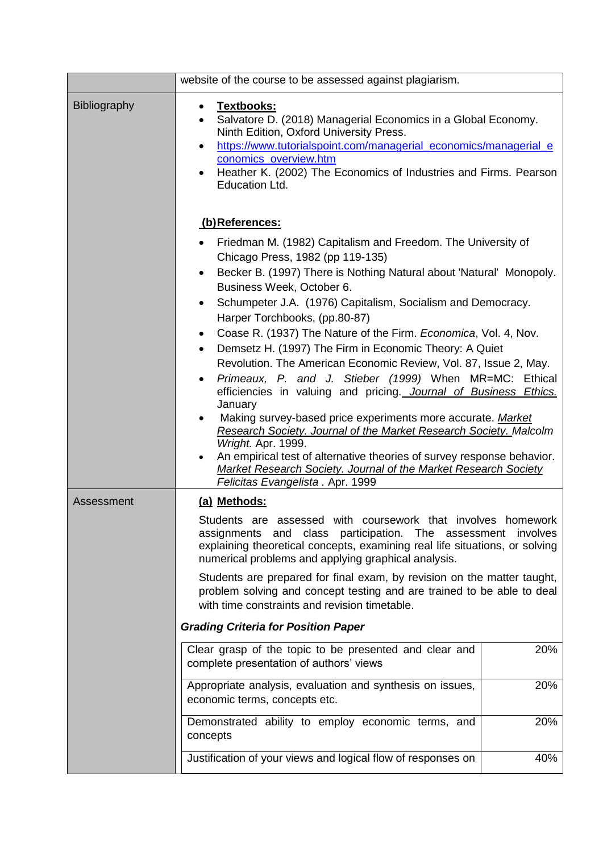|              | website of the course to be assessed against plagiarism.                                                                                                                                                                                                                                                                                                                                                                                                                                                                                                                                                                                                                                                                                          |  |  |
|--------------|---------------------------------------------------------------------------------------------------------------------------------------------------------------------------------------------------------------------------------------------------------------------------------------------------------------------------------------------------------------------------------------------------------------------------------------------------------------------------------------------------------------------------------------------------------------------------------------------------------------------------------------------------------------------------------------------------------------------------------------------------|--|--|
| Bibliography | Textbooks:<br>$\bullet$<br>Salvatore D. (2018) Managerial Economics in a Global Economy.<br>$\bullet$<br>Ninth Edition, Oxford University Press.<br>https://www.tutorialspoint.com/managerial_economics/managerial_e<br>$\bullet$<br>conomics_overview.htm<br>Heather K. (2002) The Economics of Industries and Firms. Pearson<br>$\bullet$<br>Education Ltd.                                                                                                                                                                                                                                                                                                                                                                                     |  |  |
|              | <u>(b)References:</u>                                                                                                                                                                                                                                                                                                                                                                                                                                                                                                                                                                                                                                                                                                                             |  |  |
|              | Friedman M. (1982) Capitalism and Freedom. The University of<br>Chicago Press, 1982 (pp 119-135)<br>Becker B. (1997) There is Nothing Natural about 'Natural' Monopoly.<br>٠<br>Business Week, October 6.<br>Schumpeter J.A. (1976) Capitalism, Socialism and Democracy.<br>٠<br>Harper Torchbooks, (pp.80-87)<br>Coase R. (1937) The Nature of the Firm. Economica, Vol. 4, Nov.<br>$\bullet$<br>Demsetz H. (1997) The Firm in Economic Theory: A Quiet<br>$\bullet$<br>Revolution. The American Economic Review, Vol. 87, Issue 2, May.<br>Primeaux, P. and J. Stieber (1999) When MR=MC: Ethical<br>efficiencies in valuing and pricing. Journal of Business Ethics.<br>January<br>Making survey-based price experiments more accurate. Market |  |  |
|              | Research Society. Journal of the Market Research Society. Malcolm<br>Wright. Apr. 1999.<br>An empirical test of alternative theories of survey response behavior.<br><b>Market Research Society. Journal of the Market Research Society</b><br>Felicitas Evangelista . Apr. 1999                                                                                                                                                                                                                                                                                                                                                                                                                                                                  |  |  |
| Assessment   | (a) Methods:                                                                                                                                                                                                                                                                                                                                                                                                                                                                                                                                                                                                                                                                                                                                      |  |  |
|              | Students are assessed with coursework that involves homework<br>assignments and class participation. The assessment involves<br>explaining theoretical concepts, examining real life situations, or solving<br>numerical problems and applying graphical analysis.<br>Students are prepared for final exam, by revision on the matter taught,<br>problem solving and concept testing and are trained to be able to deal<br>with time constraints and revision timetable.                                                                                                                                                                                                                                                                          |  |  |
|              | <b>Grading Criteria for Position Paper</b>                                                                                                                                                                                                                                                                                                                                                                                                                                                                                                                                                                                                                                                                                                        |  |  |
|              | 20%<br>Clear grasp of the topic to be presented and clear and<br>complete presentation of authors' views                                                                                                                                                                                                                                                                                                                                                                                                                                                                                                                                                                                                                                          |  |  |
|              | Appropriate analysis, evaluation and synthesis on issues,<br>20%<br>economic terms, concepts etc.                                                                                                                                                                                                                                                                                                                                                                                                                                                                                                                                                                                                                                                 |  |  |
|              | 20%<br>Demonstrated ability to employ economic terms, and<br>concepts                                                                                                                                                                                                                                                                                                                                                                                                                                                                                                                                                                                                                                                                             |  |  |
|              | Justification of your views and logical flow of responses on<br>40%                                                                                                                                                                                                                                                                                                                                                                                                                                                                                                                                                                                                                                                                               |  |  |